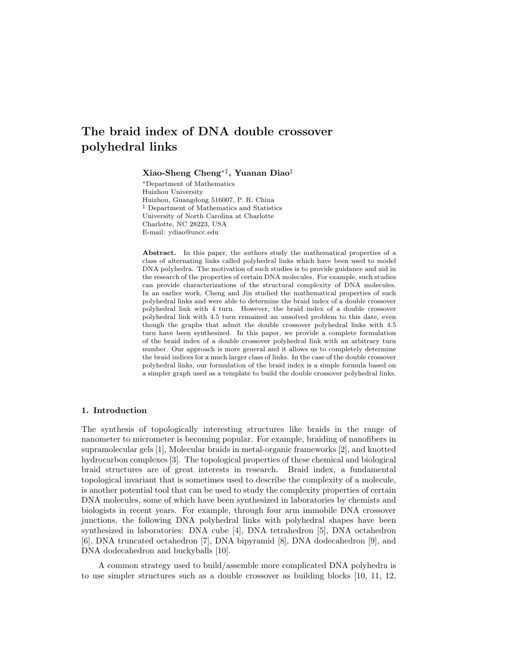Xiao-Sheng Cheng∗‡, Yuanan Diao‡

<sup>∗</sup>Department of Mathematics Huizhou University Huizhou, Guangdong 516007, P. R. China ‡ Department of Mathematics and Statistics University of North Carolina at Charlotte Charlotte, NC 28223, USA E-mail: ydiao@uncc.edu

Abstract. In this paper, the authors study the mathematical properties of a class of alternating links called polyhedral links which have been used to model DNA polyhedra. The motivation of such studies is to provide guidance and aid in the research of the properties of certain DNA molecules. For example, such studies can provide characterizations of the structural complexity of DNA molecules. In an earlier work, Cheng and Jin studied the mathematical properties of such polyhedral links and were able to determine the braid index of a double crossover polyhedral link with 4 turn. However, the braid index of a double crossover polyhedral link with 4.5 turn remained an unsolved problem to this date, even though the graphs that admit the double crossover polyhedral links with 4.5 turn have been synthesized. In this paper, we provide a complete formulation of the braid index of a double crossover polyhedral link with an arbitrary turn number. Our approach is more general and it allows us to completely determine the braid indices for a much larger class of links. In the case of the double crossover polyhedral links, our formulation of the braid index is a simple formula based on a simpler graph used as a template to build the double crossover polyhedral links.

# 1. Introduction

The synthesis of topologically interesting structures like braids in the range of nanometer to micrometer is becoming popular. For example, braiding of nanofibers in supramolecular gels [1], Molecular braids in metal-organic frameworks [2], and knotted hydrocarbon complexes [3]. The topological properties of these chemical and biological braid structures are of great interests in research. Braid index, a fundamental topological invariant that is sometimes used to describe the complexity of a molecule, is another potential tool that can be used to study the complexity properties of certain DNA molecules, some of which have been synthesized in laboratories by chemists and biologists in recent years. For example, through four arm immobile DNA crossover junctions, the following DNA polyhedral links with polyhedral shapes have been synthesized in laboratories: DNA cube [4], DNA tetrahedron [5], DNA octahedron [6], DNA truncated octahedron [7], DNA bipyramid [8], DNA dodecahedron [9], and DNA dodecahedron and buckyballs [10].

A common strategy used to build/assemble more complicated DNA polyhedra is to use simpler structures such as a double crossover as building blocks [10, 11, 12,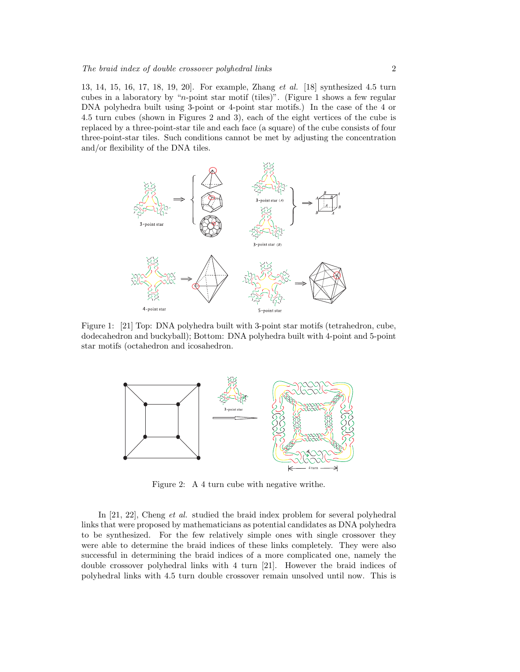13, 14, 15, 16, 17, 18, 19, 20]. For example, Zhang et al. [18] synthesized 4.5 turn cubes in a laboratory by "*n*-point star motif (tiles)". (Figure 1 shows a few regular DNA polyhedra built using 3-point or 4-point star motifs.) In the case of the 4 or 4.5 turn cubes (shown in Figures 2 and 3), each of the eight vertices of the cube is replaced by a three-point-star tile and each face (a square) of the cube consists of four three-point-star tiles. Such conditions cannot be met by adjusting the concentration and/or flexibility of the DNA tiles.



Figure 1: [21] Top: DNA polyhedra built with 3-point star motifs (tetrahedron, cube, dodecahedron and buckyball); Bottom: DNA polyhedra built with 4-point and 5-point star motifs (octahedron and icosahedron.



Figure 2: A 4 turn cube with negative writhe.

In [21, 22], Cheng *et al.* studied the braid index problem for several polyhedral links that were proposed by mathematicians as potential candidates as DNA polyhedra to be synthesized. For the few relatively simple ones with single crossover they were able to determine the braid indices of these links completely. They were also successful in determining the braid indices of a more complicated one, namely the double crossover polyhedral links with 4 turn [21]. However the braid indices of polyhedral links with 4.5 turn double crossover remain unsolved until now. This is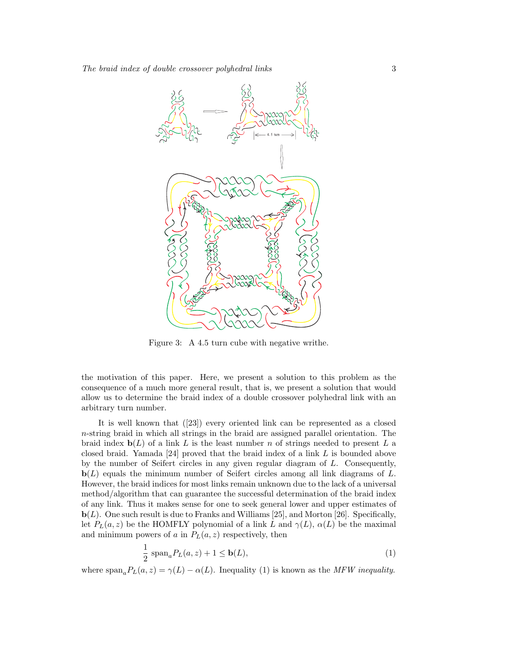

Figure 3: A 4.5 turn cube with negative writhe.

the motivation of this paper. Here, we present a solution to this problem as the consequence of a much more general result, that is, we present a solution that would allow us to determine the braid index of a double crossover polyhedral link with an arbitrary turn number.

It is well known that ([23]) every oriented link can be represented as a closed n-string braid in which all strings in the braid are assigned parallel orientation. The braid index  $\mathbf{b}(L)$  of a link L is the least number n of strings needed to present L a closed braid. Yamada  $[24]$  proved that the braid index of a link  $L$  is bounded above by the number of Seifert circles in any given regular diagram of L. Consequently,  $\mathbf{b}(L)$  equals the minimum number of Seifert circles among all link diagrams of  $L$ . However, the braid indices for most links remain unknown due to the lack of a universal method/algorithm that can guarantee the successful determination of the braid index of any link. Thus it makes sense for one to seek general lower and upper estimates of  $\mathbf{b}(L)$ . One such result is due to Franks and Williams [25], and Morton [26]. Specifically, let  $P_L(a, z)$  be the HOMFLY polynomial of a link L and  $\gamma(L)$ ,  $\alpha(L)$  be the maximal and minimum powers of a in  $P_L(a, z)$  respectively, then

$$
\frac{1}{2}\operatorname{span}_a P_L(a,z) + 1 \le \mathbf{b}(L),\tag{1}
$$

where  $\text{span}_{a}P_{L}(a, z) = \gamma(L) - \alpha(L)$ . Inequality (1) is known as the MFW inequality.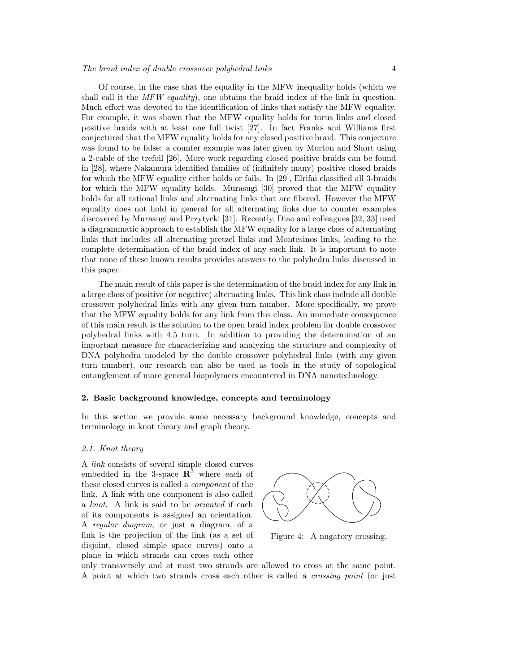Of course, in the case that the equality in the MFW inequality holds (which we shall call it the  $MFW$  equality), one obtains the braid index of the link in question. Much effort was devoted to the identification of links that satisfy the MFW equality. For example, it was shown that the MFW equality holds for torus links and closed positive braids with at least one full twist [27]. In fact Franks and Williams first conjectured that the MFW equality holds for any closed positive braid. This conjecture was found to be false: a counter example was later given by Morton and Short using a 2-cable of the trefoil [26]. More work regarding closed positive braids can be found in [28], where Nakamura identified families of (infinitely many) positive closed braids for which the MFW equality either holds or fails. In [29], Elrifai classified all 3-braids for which the MFW equality holds. Murasugi [30] proved that the MFW equality holds for all rational links and alternating links that are fibered. However the MFW equality does not hold in general for all alternating links due to counter examples discovered by Murasugi and Przytycki [31]. Recently, Diao and colleagues [32, 33] used a diagrammatic approach to establish the MFW equality for a large class of alternating links that includes all alternating pretzel links and Montesinos links, leading to the complete determination of the braid index of any such link. It is important to note that none of these known results provides answers to the polyhedra links discussed in this paper.

The main result of this paper is the determination of the braid index for any link in a large class of positive (or negative) alternating links. This link class include all double crossover polyhedral links with any given turn number. More specifically, we prove that the MFW equality holds for any link from this class. An immediate consequence of this main result is the solution to the open braid index problem for double crossover polyhedral links with 4.5 turn. In addition to providing the determination of an important measure for characterizing and analyzing the structure and complexity of DNA polyhedra modeled by the double crossover polyhedral links (with any given turn number), our research can also be used as tools in the study of topological entanglement of more general biopolymers encountered in DNA nanotechnology.

## 2. Basic background knowledge, concepts and terminology

In this section we provide some necessary background knowledge, concepts and terminology in knot theory and graph theory.

## 2.1. Knot theory

A link consists of several simple closed curves embedded in the 3-space  $\mathbb{R}^3$  where each of these closed curves is called a component of the link. A link with one component is also called a knot. A link is said to be oriented if each of its components is assigned an orientation. A regular diagram, or just a diagram, of a link is the projection of the link (as a set of disjoint, closed simple space curves) onto a plane in which strands can cross each other



Figure 4: A nugatory crossing.

only transversely and at most two strands are allowed to cross at the same point. A point at which two strands cross each other is called a crossing point (or just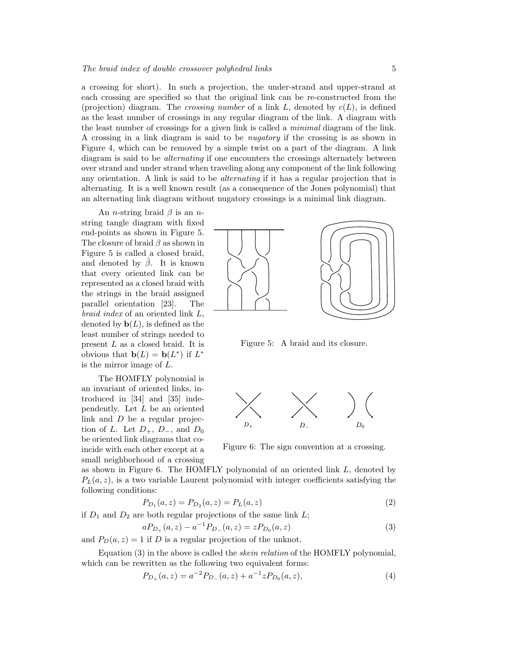a crossing for short). In such a projection, the under-strand and upper-strand at each crossing are specified so that the original link can be re-constructed from the (projection) diagram. The *crossing number* of a link L, denoted by  $c(L)$ , is defined as the least number of crossings in any regular diagram of the link. A diagram with the least number of crossings for a given link is called a *minimal* diagram of the link. A crossing in a link diagram is said to be nugatory if the crossing is as shown in Figure 4, which can be removed by a simple twist on a part of the diagram. A link diagram is said to be *alternating* if one encounters the crossings alternately between over strand and under strand when traveling along any component of the link following any orientation. A link is said to be *alternating* if it has a regular projection that is alternating. It is a well known result (as a consequence of the Jones polynomial) that an alternating link diagram without nugatory crossings is a minimal link diagram.

An *n*-string braid  $\beta$  is an *n*string tangle diagram with fixed end-points as shown in Figure 5. The closure of braid  $\beta$  as shown in Figure 5 is called a closed braid, and denoted by  $\hat{\beta}$ . It is known that every oriented link can be represented as a closed braid with the strings in the braid assigned parallel orientation [23]. The braid index of an oriented link L, denoted by  $\mathbf{b}(L)$ , is defined as the least number of strings needed to present L as a closed braid. It is obvious that  $\mathbf{b}(L) = \mathbf{b}(L^*)$  if  $L^*$ is the mirror image of L.

The HOMFLY polynomial is an invariant of oriented links, introduced in [34] and [35] independently. Let L be an oriented link and D be a regular projection of L. Let  $D_+$ ,  $D_-$ , and  $D_0$ be oriented link diagrams that coincide with each other except at a small neighborhood of a crossing



Figure 5: A braid and its closure.

Figure 6: The sign convention at a crossing.

as shown in Figure 6. The HOMFLY polynomial of an oriented link  $L$ , denoted by  $P_L(a, z)$ , is a two variable Laurent polynomial with integer coefficients satisfying the following conditions:

$$
P_{D_1}(a, z) = P_{D_2}(a, z) = P_L(a, z)
$$
\n(2)

if  $D_1$  and  $D_2$  are both regular projections of the same link  $L$ ;

$$
aP_{D_+}(a,z) - a^{-1}P_{D_-}(a,z) = zP_{D_0}(a,z)
$$
\n(3)

and  $P_D(a, z) = 1$  if D is a regular projection of the unknot.

Equation  $(3)$  in the above is called the *skein relation* of the HOMFLY polynomial, which can be rewritten as the following two equivalent forms:

$$
P_{D_+}(a,z) = a^{-2} P_{D_-}(a,z) + a^{-1} z P_{D_0}(a,z),
$$
\n(4)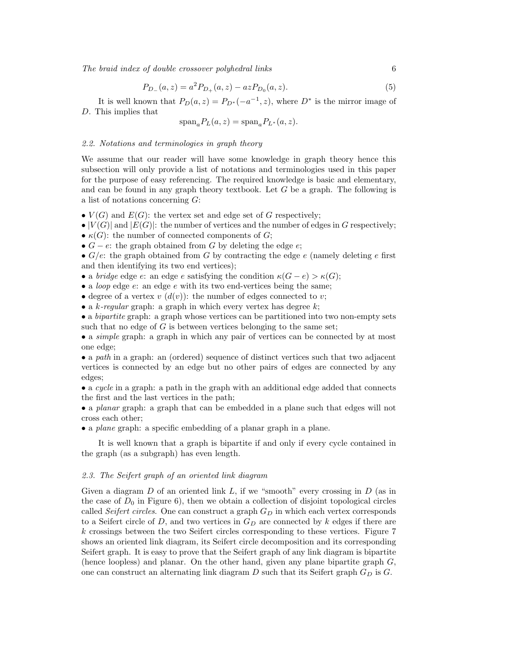$$
P_{D_{-}}(a, z) = a^2 P_{D_{+}}(a, z) - az P_{D_0}(a, z). \tag{5}
$$

It is well known that  $P_D(a, z) = P_{D^*}(-a^{-1}, z)$ , where  $D^*$  is the mirror image of D. This implies that

$$
\text{span}_a P_L(a, z) = \text{span}_a P_{L^*}(a, z).
$$

## 2.2. Notations and terminologies in graph theory

We assume that our reader will have some knowledge in graph theory hence this subsection will only provide a list of notations and terminologies used in this paper for the purpose of easy referencing. The required knowledge is basic and elementary, and can be found in any graph theory textbook. Let  $G$  be a graph. The following is a list of notations concerning  $G$ :

- $V(G)$  and  $E(G)$ : the vertex set and edge set of G respectively;
- $|V(G)|$  and  $|E(G)|$ : the number of vertices and the number of edges in G respectively;
- $\kappa(G)$ : the number of connected components of G;
- $G e$ : the graph obtained from G by deleting the edge  $e$ ;
- $G/e$ : the graph obtained from G by contracting the edge e (namely deleting e first and then identifying its two end vertices);
- a *bridge* edge *e*: an edge *e* satisfying the condition  $\kappa(G e) > \kappa(G);$
- a *loop* edge  $e$ : an edge  $e$  with its two end-vertices being the same;
- degree of a vertex  $v(d(v))$ : the number of edges connected to v;
- a k-regular graph: a graph in which every vertex has degree  $k$ ;
- a *bipartite* graph: a graph whose vertices can be partitioned into two non-empty sets such that no edge of  $G$  is between vertices belonging to the same set;
- a *simple* graph: a graph in which any pair of vertices can be connected by at most one edge;

• a *path* in a graph: an (ordered) sequence of distinct vertices such that two adjacent vertices is connected by an edge but no other pairs of edges are connected by any edges;

• a cycle in a graph: a path in the graph with an additional edge added that connects the first and the last vertices in the path;

• a *planar* graph: a graph that can be embedded in a plane such that edges will not cross each other;

• a *plane* graph: a specific embedding of a planar graph in a plane.

It is well known that a graph is bipartite if and only if every cycle contained in the graph (as a subgraph) has even length.

#### 2.3. The Seifert graph of an oriented link diagram

Given a diagram  $D$  of an oriented link  $L$ , if we "smooth" every crossing in  $D$  (as in the case of  $D_0$  in Figure 6), then we obtain a collection of disjoint topological circles called Seifert circles. One can construct a graph  $G_D$  in which each vertex corresponds to a Seifert circle of D, and two vertices in  $G_D$  are connected by k edges if there are k crossings between the two Seifert circles corresponding to these vertices. Figure 7 shows an oriented link diagram, its Seifert circle decomposition and its corresponding Seifert graph. It is easy to prove that the Seifert graph of any link diagram is bipartite (hence loopless) and planar. On the other hand, given any plane bipartite graph  $G$ , one can construct an alternating link diagram  $D$  such that its Seifert graph  $G_D$  is  $G$ .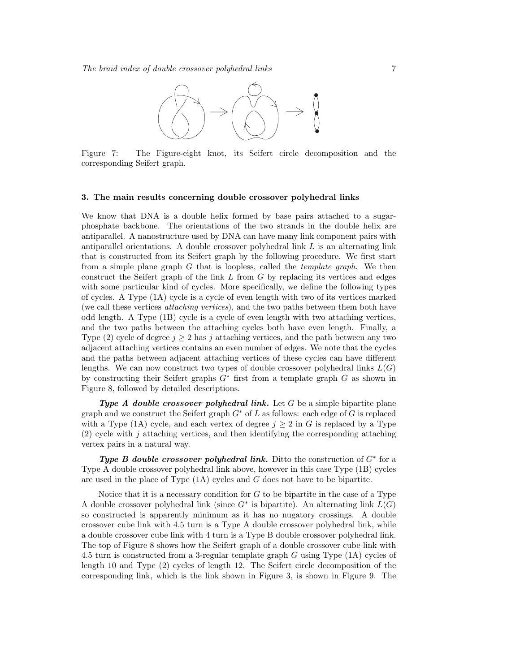

Figure 7: The Figure-eight knot, its Seifert circle decomposition and the corresponding Seifert graph.

#### 3. The main results concerning double crossover polyhedral links

We know that DNA is a double helix formed by base pairs attached to a sugarphosphate backbone. The orientations of the two strands in the double helix are antiparallel. A nanostructure used by DNA can have many link component pairs with antiparallel orientations. A double crossover polyhedral link  $L$  is an alternating link that is constructed from its Seifert graph by the following procedure. We first start from a simple plane graph  $G$  that is loopless, called the *template graph*. We then construct the Seifert graph of the link  $L$  from  $G$  by replacing its vertices and edges with some particular kind of cycles. More specifically, we define the following types of cycles. A Type (1A) cycle is a cycle of even length with two of its vertices marked (we call these vertices attaching vertices), and the two paths between them both have odd length. A Type (1B) cycle is a cycle of even length with two attaching vertices, and the two paths between the attaching cycles both have even length. Finally, a Type (2) cycle of degree  $j \geq 2$  has j attaching vertices, and the path between any two adjacent attaching vertices contains an even number of edges. We note that the cycles and the paths between adjacent attaching vertices of these cycles can have different lengths. We can now construct two types of double crossover polyhedral links  $L(G)$ by constructing their Seifert graphs  $G^*$  first from a template graph  $G$  as shown in Figure 8, followed by detailed descriptions.

Type A double crossover polyhedral link. Let  $G$  be a simple bipartite plane graph and we construct the Seifert graph  $G^*$  of L as follows: each edge of G is replaced with a Type (1A) cycle, and each vertex of degree  $j \geq 2$  in G is replaced by a Type  $(2)$  cycle with j attaching vertices, and then identifying the corresponding attaching vertex pairs in a natural way.

Type B double crossover polyhedral link. Ditto the construction of  $G^*$  for a Type A double crossover polyhedral link above, however in this case Type (1B) cycles are used in the place of Type (1A) cycles and G does not have to be bipartite.

Notice that it is a necessary condition for  $G$  to be bipartite in the case of a Type A double crossover polyhedral link (since  $G^*$  is bipartite). An alternating link  $L(G)$ so constructed is apparently minimum as it has no nugatory crossings. A double crossover cube link with 4.5 turn is a Type A double crossover polyhedral link, while a double crossover cube link with 4 turn is a Type B double crossover polyhedral link. The top of Figure 8 shows how the Seifert graph of a double crossover cube link with 4.5 turn is constructed from a 3-regular template graph G using Type (1A) cycles of length 10 and Type (2) cycles of length 12. The Seifert circle decomposition of the corresponding link, which is the link shown in Figure 3, is shown in Figure 9. The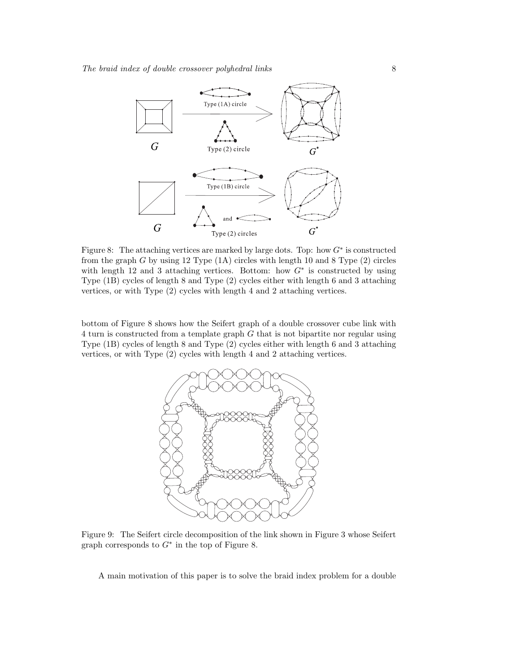

Figure 8: The attaching vertices are marked by large dots. Top: how  $G^*$  is constructed from the graph  $G$  by using 12 Type  $(1A)$  circles with length 10 and 8 Type  $(2)$  circles with length 12 and 3 attaching vertices. Bottom: how  $G^*$  is constructed by using Type (1B) cycles of length 8 and Type (2) cycles either with length 6 and 3 attaching vertices, or with Type (2) cycles with length 4 and 2 attaching vertices.

bottom of Figure 8 shows how the Seifert graph of a double crossover cube link with 4 turn is constructed from a template graph G that is not bipartite nor regular using Type (1B) cycles of length 8 and Type (2) cycles either with length 6 and 3 attaching vertices, or with Type (2) cycles with length 4 and 2 attaching vertices.



Figure 9: The Seifert circle decomposition of the link shown in Figure 3 whose Seifert graph corresponds to  $G^*$  in the top of Figure 8.

A main motivation of this paper is to solve the braid index problem for a double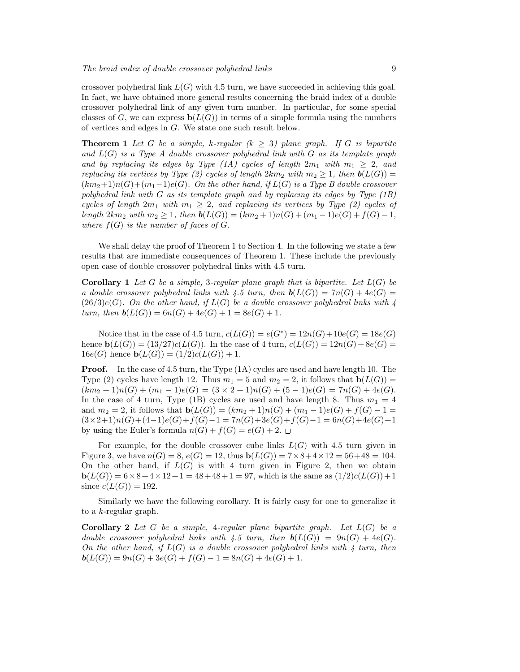crossover polyhedral link  $L(G)$  with 4.5 turn, we have succeeded in achieving this goal. In fact, we have obtained more general results concerning the braid index of a double crossover polyhedral link of any given turn number. In particular, for some special classes of G, we can express  $\mathbf{b}(L(G))$  in terms of a simple formula using the numbers of vertices and edges in G. We state one such result below.

**Theorem 1** Let G be a simple, k-regular  $(k \geq 3)$  plane graph. If G is bipartite and  $L(G)$  is a Type A double crossover polyhedral link with  $G$  as its template graph and by replacing its edges by Type (1A) cycles of length  $2m_1$  with  $m_1 \geq 2$ , and replacing its vertices by Type (2) cycles of length  $2km_2$  with  $m_2 \geq 1$ , then  $\mathbf{b}(L(G)) =$  $(km_2+1)n(G)+(m_1-1)e(G)$ . On the other hand, if  $L(G)$  is a Type B double crossover polyhedral link with G as its template graph and by replacing its edges by Type  $(1B)$ cycles of length  $2m_1$  with  $m_1 \geq 2$ , and replacing its vertices by Type (2) cycles of length  $2km_2$  with  $m_2 \geq 1$ , then  $\mathbf{b}(L(G)) = (km_2 + 1)n(G) + (m_1 - 1)e(G) + f(G) - 1$ , where  $f(G)$  is the number of faces of  $G$ .

We shall delay the proof of Theorem 1 to Section 4. In the following we state a few results that are immediate consequences of Theorem 1. These include the previously open case of double crossover polyhedral links with 4.5 turn.

**Corollary 1** Let G be a simple, 3-regular plane graph that is bipartite. Let  $L(G)$  be a double crossover polyhedral links with 4.5 turn, then  $\mathbf{b}(L(G)) = 7n(G) + 4e(G) =$  $(26/3)e(G)$ . On the other hand, if  $L(G)$  be a double crossover polyhedral links with 4 turn, then  $\mathbf{b}(L(G)) = 6n(G) + 4e(G) + 1 = 8e(G) + 1$ .

Notice that in the case of 4.5 turn,  $c(L(G)) = e(G^*) = 12n(G) + 10e(G) = 18e(G)$ hence  $\mathbf{b}(L(G)) = (13/27)c(L(G))$ . In the case of 4 turn,  $c(L(G)) = 12n(G) + 8e(G) =$  $16e(G)$  hence  $\mathbf{b}(L(G)) = (1/2)c(L(G)) + 1.$ 

Proof. In the case of 4.5 turn, the Type (1A) cycles are used and have length 10. The Type (2) cycles have length 12. Thus  $m_1 = 5$  and  $m_2 = 2$ , it follows that  $\mathbf{b}(L(G)) =$  $(km_2 + 1)n(G) + (m_1 - 1)e(G) = (3 \times 2 + 1)n(G) + (5 - 1)e(G) = 7n(G) + 4e(G).$ In the case of 4 turn, Type (1B) cycles are used and have length 8. Thus  $m_1 = 4$ and  $m_2 = 2$ , it follows that  $\mathbf{b}(L(G)) = (km_2 + 1)n(G) + (m_1 - 1)e(G) + f(G) - 1 =$  $(3 \times 2+1)n(G)+(4-1)e(G)+f(G)-1 = 7n(G)+3e(G)+f(G)-1 = 6n(G)+4e(G)+1$ by using the Euler's formula  $n(G) + f(G) = e(G) + 2$ .

For example, for the double crossover cube links  $L(G)$  with 4.5 turn given in Figure 3, we have  $n(G) = 8$ ,  $e(G) = 12$ , thus  $b(L(G)) = 7 \times 8 + 4 \times 12 = 56 + 48 = 104$ . On the other hand, if  $L(G)$  is with 4 turn given in Figure 2, then we obtain  $\mathbf{b}(L(G)) = 6 \times 8 + 4 \times 12 + 1 = 48 + 48 + 1 = 97$ , which is the same as  $(1/2)c(L(G)) + 1$ since  $c(L(G)) = 192$ .

Similarly we have the following corollary. It is fairly easy for one to generalize it to a k-regular graph.

**Corollary 2** Let G be a simple, 4-regular plane bipartite graph. Let  $L(G)$  be a double crossover polyhedral links with 4.5 turn, then  $\mathbf{b}(L(G)) = 9n(G) + 4e(G)$ . On the other hand, if  $L(G)$  is a double crossover polyhedral links with 4 turn, then  $\mathbf{b}(L(G)) = 9n(G) + 3e(G) + f(G) - 1 = 8n(G) + 4e(G) + 1.$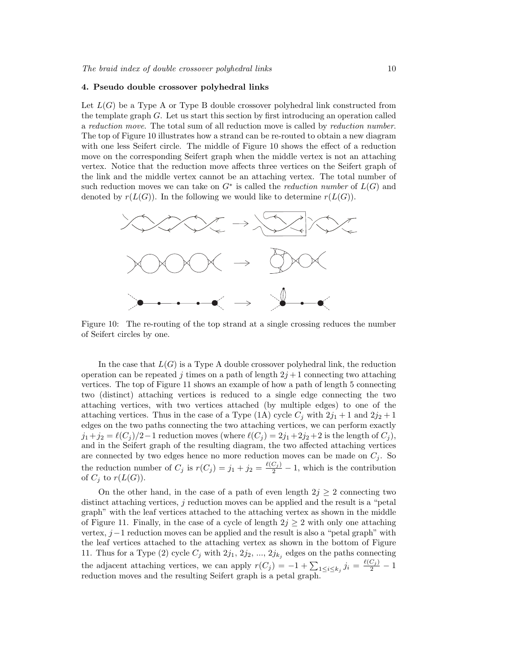#### 4. Pseudo double crossover polyhedral links

Let  $L(G)$  be a Type A or Type B double crossover polyhedral link constructed from the template graph  $G$ . Let us start this section by first introducing an operation called a reduction move. The total sum of all reduction move is called by reduction number. The top of Figure 10 illustrates how a strand can be re-routed to obtain a new diagram with one less Seifert circle. The middle of Figure 10 shows the effect of a reduction move on the corresponding Seifert graph when the middle vertex is not an attaching vertex. Notice that the reduction move affects three vertices on the Seifert graph of the link and the middle vertex cannot be an attaching vertex. The total number of such reduction moves we can take on  $G^*$  is called the *reduction number* of  $L(G)$  and denoted by  $r(L(G))$ . In the following we would like to determine  $r(L(G))$ .



Figure 10: The re-routing of the top strand at a single crossing reduces the number of Seifert circles by one.

In the case that  $L(G)$  is a Type A double crossover polyhedral link, the reduction operation can be repeated j times on a path of length  $2j+1$  connecting two attaching vertices. The top of Figure 11 shows an example of how a path of length 5 connecting two (distinct) attaching vertices is reduced to a single edge connecting the two attaching vertices, with two vertices attached (by multiple edges) to one of the attaching vertices. Thus in the case of a Type (1A) cycle  $C_i$  with  $2j_1 + 1$  and  $2j_2 + 1$ edges on the two paths connecting the two attaching vertices, we can perform exactly  $j_1+j_2 = \ell(C_j)/2-1$  reduction moves (where  $\ell(C_j) = 2j_1+2j_2+2$  is the length of  $C_j$ ), and in the Seifert graph of the resulting diagram, the two affected attaching vertices are connected by two edges hence no more reduction moves can be made on  $C_j$ . So the reduction number of  $C_j$  is  $r(C_j) = j_1 + j_2 = \frac{\ell(C_j)}{2} - 1$ , which is the contribution of  $C_i$  to  $r(L(G))$ .

On the other hand, in the case of a path of even length  $2j \geq 2$  connecting two distinct attaching vertices,  $j$  reduction moves can be applied and the result is a "petal" graph" with the leaf vertices attached to the attaching vertex as shown in the middle of Figure 11. Finally, in the case of a cycle of length  $2j \geq 2$  with only one attaching vertex,  $j-1$  reduction moves can be applied and the result is also a "petal graph" with the leaf vertices attached to the attaching vertex as shown in the bottom of Figure 11. Thus for a Type (2) cycle  $C_j$  with  $2j_1, 2j_2, ..., 2j_{k_j}$  edges on the paths connecting the adjacent attaching vertices, we can apply  $r(C_j) = -1 + \sum_{1 \leq i \leq k_j} j_i = \frac{\ell(C_j)}{2} - 1$ reduction moves and the resulting Seifert graph is a petal graph.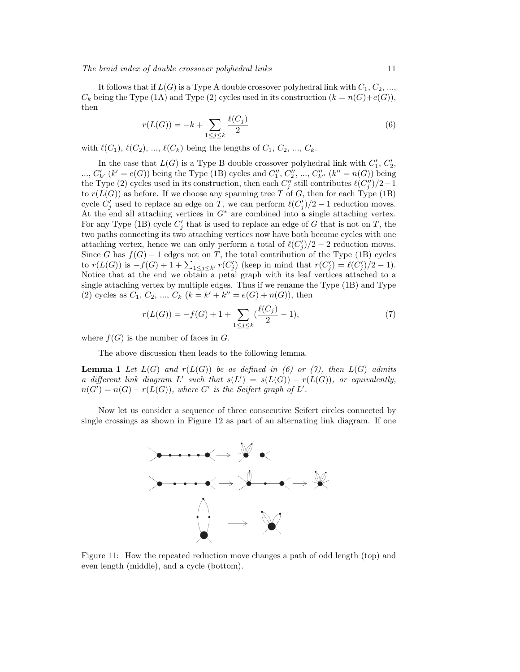It follows that if  $L(G)$  is a Type A double crossover polyhedral link with  $C_1, C_2, ...,$  $C_k$  being the Type (1A) and Type (2) cycles used in its construction  $(k = n(G) + e(G))$ , then

$$
r(L(G)) = -k + \sum_{1 \le j \le k} \frac{\ell(C_j)}{2} \tag{6}
$$

with  $\ell(C_1), \ell(C_2), ..., \ell(C_k)$  being the lengths of  $C_1, C_2, ..., C_k$ .

In the case that  $L(G)$  is a Type B double crossover polyhedral link with  $C'_1$ ,  $C'_2$ , ...,  $C'_{k'}(k' = e(G))$  being the Type (1B) cycles and  $C''_1, C''_2, ..., C''_{k''}(k'' = n(G))$  being the Type (2) cycles used in its construction, then each  $C''_j$  still contributes  $\ell(C''_j)/2-1$ to  $r(L(G))$  as before. If we choose any spanning tree T of G, then for each Type (1B) cycle  $C'_j$  used to replace an edge on T, we can perform  $\ell(C'_j)/2 - 1$  reduction moves. At the end all attaching vertices in  $G^*$  are combined into a single attaching vertex. For any Type (1B) cycle  $C'_{j}$  that is used to replace an edge of G that is not on T, the two paths connecting its two attaching vertices now have both become cycles with one attaching vertex, hence we can only perform a total of  $\ell(C'_j)/2 - 2$  reduction moves. Since G has  $f(G) - 1$  edges not on T, the total contribution of the Type (1B) cycles to  $r(L(G))$  is  $-f(G) + 1 + \sum_{1 \leq j \leq k'} r(C'_j)$  (keep in mind that  $r(C'_j) = \ell(C'_j)/2 - 1$ ). Notice that at the end we obtain a petal graph with its leaf vertices attached to a single attaching vertex by multiple edges. Thus if we rename the Type (1B) and Type (2) cycles as  $C_1, C_2, ..., C_k$   $(k = k' + k'' = e(G) + n(G))$ , then

$$
r(L(G)) = -f(G) + 1 + \sum_{1 \le j \le k} \left(\frac{\ell(C_j)}{2} - 1\right),\tag{7}
$$

where  $f(G)$  is the number of faces in G.

The above discussion then leads to the following lemma.

**Lemma 1** Let  $L(G)$  and  $r(L(G))$  be as defined in (6) or (7), then  $L(G)$  admits a different link diagram L' such that  $s(L') = s(L(G)) - r(L(G))$ , or equivalently,  $n(G') = n(G) - r(L(G))$ , where G' is the Seifert graph of L'.

Now let us consider a sequence of three consecutive Seifert circles connected by single crossings as shown in Figure 12 as part of an alternating link diagram. If one



Figure 11: How the repeated reduction move changes a path of odd length (top) and even length (middle), and a cycle (bottom).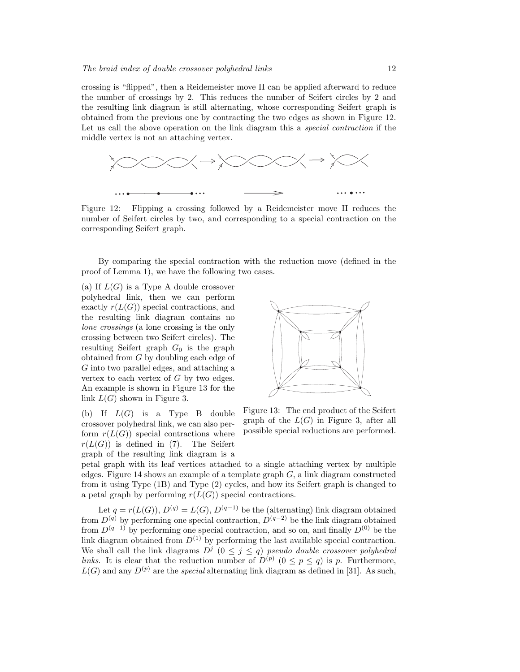crossing is "flipped", then a Reidemeister move II can be applied afterward to reduce the number of crossings by 2. This reduces the number of Seifert circles by 2 and the resulting link diagram is still alternating, whose corresponding Seifert graph is obtained from the previous one by contracting the two edges as shown in Figure 12. Let us call the above operation on the link diagram this a *special contraction* if the middle vertex is not an attaching vertex.



Figure 12: Flipping a crossing followed by a Reidemeister move II reduces the number of Seifert circles by two, and corresponding to a special contraction on the corresponding Seifert graph.

By comparing the special contraction with the reduction move (defined in the proof of Lemma 1), we have the following two cases.

(a) If  $L(G)$  is a Type A double crossover polyhedral link, then we can perform exactly  $r(L(G))$  special contractions, and the resulting link diagram contains no lone crossings (a lone crossing is the only crossing between two Seifert circles). The resulting Seifert graph  $G_0$  is the graph obtained from G by doubling each edge of G into two parallel edges, and attaching a vertex to each vertex of  $G$  by two edges. An example is shown in Figure 13 for the link  $L(G)$  shown in Figure 3.

(b) If  $L(G)$  is a Type B double crossover polyhedral link, we can also perform  $r(L(G))$  special contractions where  $r(L(G))$  is defined in (7). The Seifert graph of the resulting link diagram is a



Figure 13: The end product of the Seifert graph of the  $L(G)$  in Figure 3, after all possible special reductions are performed.

petal graph with its leaf vertices attached to a single attaching vertex by multiple edges. Figure 14 shows an example of a template graph  $G$ , a link diagram constructed from it using Type (1B) and Type (2) cycles, and how its Seifert graph is changed to a petal graph by performing  $r(L(G))$  special contractions.

Let  $q = r(L(G)), D^{(q)} = L(G), D^{(q-1)}$  be the (alternating) link diagram obtained from  $D^{(q)}$  by performing one special contraction,  $D^{(q-2)}$  be the link diagram obtained from  $D^{(q-1)}$  by performing one special contraction, and so on, and finally  $D^{(0)}$  be the link diagram obtained from  $D^{(1)}$  by performing the last available special contraction. We shall call the link diagrams  $D^j$   $(0 \leq j \leq q)$  pseudo double crossover polyhedral links. It is clear that the reduction number of  $D^{(p)}$   $(0 \leq p \leq q)$  is p. Furthermore,  $L(G)$  and any  $D^{(p)}$  are the *special* alternating link diagram as defined in [31]. As such,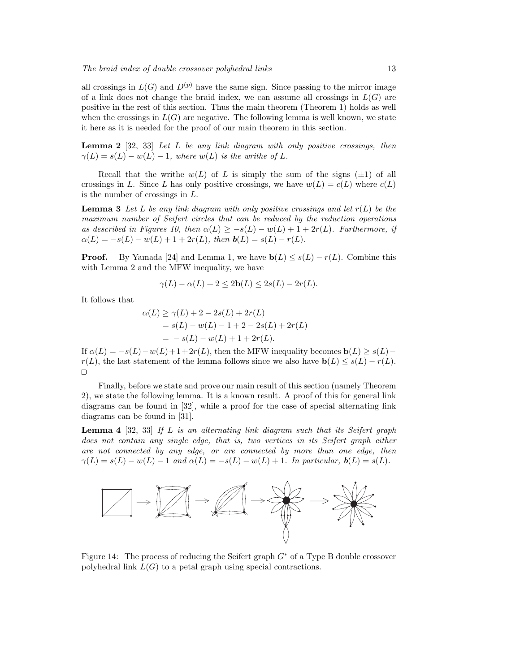all crossings in  $L(G)$  and  $D^{(p)}$  have the same sign. Since passing to the mirror image of a link does not change the braid index, we can assume all crossings in  $L(G)$  are positive in the rest of this section. Thus the main theorem (Theorem 1) holds as well when the crossings in  $L(G)$  are negative. The following lemma is well known, we state it here as it is needed for the proof of our main theorem in this section.

**Lemma 2** [32, 33] Let L be any link diagram with only positive crossings, then  $\gamma(L) = s(L) - w(L) - 1$ , where  $w(L)$  is the writhe of L.

Recall that the writhe  $w(L)$  of L is simply the sum of the signs  $(\pm 1)$  of all crossings in L. Since L has only positive crossings, we have  $w(L) = c(L)$  where  $c(L)$ is the number of crossings in L.

**Lemma 3** Let L be any link diagram with only positive crossings and let  $r(L)$  be the maximum number of Seifert circles that can be reduced by the reduction operations as described in Figures 10, then  $\alpha(L) \geq -s(L) - w(L) + 1 + 2r(L)$ . Furthermore, if  $\alpha(L) = -s(L) - w(L) + 1 + 2r(L), \text{ then } b(L) = s(L) - r(L).$ 

**Proof.** By Yamada [24] and Lemma 1, we have  $\mathbf{b}(L) \leq s(L) - r(L)$ . Combine this with Lemma 2 and the MFW inequality, we have

$$
\gamma(L) - \alpha(L) + 2 \le 2\mathbf{b}(L) \le 2s(L) - 2r(L).
$$

It follows that

$$
\alpha(L) \ge \gamma(L) + 2 - 2s(L) + 2r(L)
$$
  
=  $s(L) - w(L) - 1 + 2 - 2s(L) + 2r(L)$   
=  $-s(L) - w(L) + 1 + 2r(L)$ .

If  $\alpha(L) = -s(L)-w(L)+1+2r(L)$ , then the MFW inequality becomes  $\mathbf{b}(L) > s(L)$  $r(L)$ , the last statement of the lemma follows since we also have  $\mathbf{b}(L) \leq s(L) - r(L)$ .  $\Box$ 

Finally, before we state and prove our main result of this section (namely Theorem 2), we state the following lemma. It is a known result. A proof of this for general link diagrams can be found in [32], while a proof for the case of special alternating link diagrams can be found in [31].

**Lemma 4** [32, 33] If L is an alternating link diagram such that its Seifert graph does not contain any single edge, that is, two vertices in its Seifert graph either are not connected by any edge, or are connected by more than one edge, then  $\gamma(L) = s(L) - w(L) - 1$  and  $\alpha(L) = -s(L) - w(L) + 1$ . In particular,  $\mathbf{b}(L) = s(L)$ .



Figure 14: The process of reducing the Seifert graph  $G^*$  of a Type B double crossover polyhedral link  $L(G)$  to a petal graph using special contractions.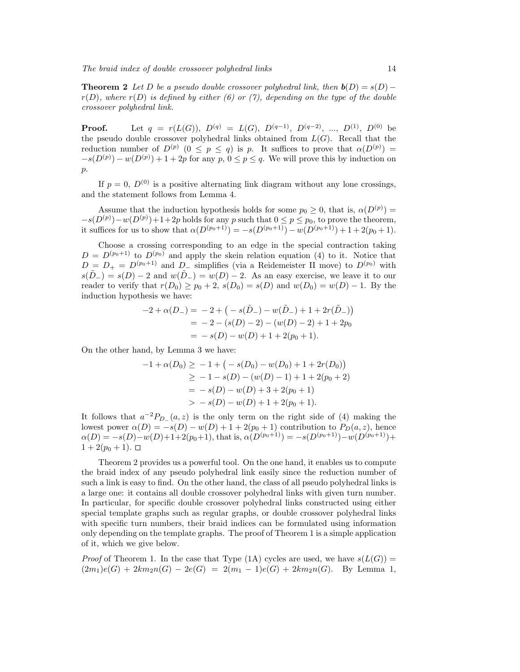**Theorem 2** Let D be a pseudo double crossover polyhedral link, then  $\mathbf{b}(D) = s(D)$  $r(D)$ , where  $r(D)$  is defined by either (6) or (7), depending on the type of the double crossover polyhedral link.

**Proof.** Let  $q = r(L(G))$ ,  $D^{(q)} = L(G)$ ,  $D^{(q-1)}$ ,  $D^{(q-2)}$ , ...,  $D^{(1)}$ ,  $D^{(0)}$  be the pseudo double crossover polyhedral links obtained from  $L(G)$ . Recall that the reduction number of  $D^{(p)}$   $(0 \leq p \leq q)$  is p. It suffices to prove that  $\alpha(D^{(p)}) =$  $-s(D^{(p)}) - w(D^{(p)}) + 1 + 2p$  for any  $p, 0 \le p \le q$ . We will prove this by induction on  $p$ .

If  $p = 0$ ,  $D^{(0)}$  is a positive alternating link diagram without any lone crossings, and the statement follows from Lemma 4.

Assume that the induction hypothesis holds for some  $p_0 \geq 0$ , that is,  $\alpha(D^{(p)}) =$  $-s(D^{(p)})-w(D^{(p)})+1+2p$  holds for any p such that  $0 \le p \le p_0$ , to prove the theorem, it suffices for us to show that  $\alpha(D^{(p_0+1)}) = -s(D^{(p_0+1)}) - w(D^{(p_0+1)}) + 1 + 2(p_0+1)$ .

Choose a crossing corresponding to an edge in the special contraction taking  $D = D^{(p_0+1)}$  to  $D^{(p_0)}$  and apply the skein relation equation (4) to it. Notice that  $D = D_+ = D^{(p_0+1)}$  and  $D_-$  simplifies (via a Reidemeister II move) to  $D^{(p_0)}$  with  $s(D<sub>-</sub>) = s(D) - 2$  and  $w(D<sub>-</sub>) = w(D) - 2$ . As an easy exercise, we leave it to our reader to verify that  $r(D_0) \ge p_0 + 2$ ,  $s(D_0) = s(D)$  and  $w(D_0) = w(D) - 1$ . By the induction hypothesis we have:

$$
-2 + \alpha(D_{-}) = -2 + (-s(\tilde{D}_{-}) - w(\tilde{D}_{-}) + 1 + 2r(\tilde{D}_{-}))
$$
  
= -2 - (s(D) - 2) - (w(D) - 2) + 1 + 2p<sub>0</sub>  
= -s(D) - w(D) + 1 + 2(p<sub>0</sub> + 1).

On the other hand, by Lemma 3 we have:

$$
-1 + \alpha(D_0) \ge -1 + (-s(D_0) - w(D_0) + 1 + 2r(D_0))
$$
  
\n
$$
\ge -1 - s(D) - (w(D) - 1) + 1 + 2(p_0 + 2)
$$
  
\n
$$
= -s(D) - w(D) + 3 + 2(p_0 + 1)
$$
  
\n
$$
> -s(D) - w(D) + 1 + 2(p_0 + 1).
$$

It follows that  $a^{-2}P_{D-}(a, z)$  is the only term on the right side of (4) making the lowest power  $\alpha(D) = -s(D) - w(D) + 1 + 2(p_0 + 1)$  contribution to  $P_D(a, z)$ , hence  $\alpha(D) = -s(D)-w(D)+1+2(p_0+1)$ , that is,  $\alpha(D^{(p_0+1)}) = -s(D^{(p_0+1)})-w(D^{(p_0+1)})+$  $1 + 2(p_0 + 1)$ .

Theorem 2 provides us a powerful tool. On the one hand, it enables us to compute the braid index of any pseudo polyhedral link easily since the reduction number of such a link is easy to find. On the other hand, the class of all pseudo polyhedral links is a large one: it contains all double crossover polyhedral links with given turn number. In particular, for specific double crossover polyhedral links constructed using either special template graphs such as regular graphs, or double crossover polyhedral links with specific turn numbers, their braid indices can be formulated using information only depending on the template graphs. The proof of Theorem 1 is a simple application of it, which we give below.

*Proof* of Theorem 1. In the case that Type (1A) cycles are used, we have  $s(L(G))$  =  $(2m_1)e(G) + 2km_2n(G) - 2e(G) = 2(m_1 - 1)e(G) + 2km_2n(G)$ . By Lemma 1,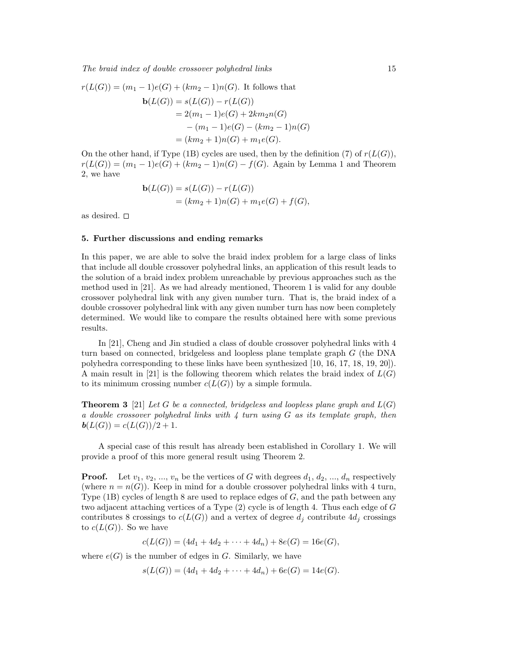$$
r(L(G)) = (m_1 - 1)e(G) + (km_2 - 1)n(G).
$$
 It follows that  
\n
$$
\mathbf{b}(L(G)) = s(L(G)) - r(L(G))
$$
\n
$$
= 2(m_1 - 1)e(G) + 2km_2n(G)
$$
\n
$$
- (m_1 - 1)e(G) - (km_2 - 1)n(G)
$$
\n
$$
= (km_2 + 1)n(G) + m_1e(G).
$$

On the other hand, if Type (1B) cycles are used, then by the definition (7) of  $r(L(G))$ ,  $r(L(G)) = (m_1 - 1)e(G) + (km_2 - 1)n(G) - f(G)$ . Again by Lemma 1 and Theorem 2, we have

$$
b(L(G)) = s(L(G)) - r(L(G))
$$
  
=  $(km_2 + 1)n(G) + m_1e(G) + f(G),$ 

as desired.

## 5. Further discussions and ending remarks

In this paper, we are able to solve the braid index problem for a large class of links that include all double crossover polyhedral links, an application of this result leads to the solution of a braid index problem unreachable by previous approaches such as the method used in [21]. As we had already mentioned, Theorem 1 is valid for any double crossover polyhedral link with any given number turn. That is, the braid index of a double crossover polyhedral link with any given number turn has now been completely determined. We would like to compare the results obtained here with some previous results.

In [21], Cheng and Jin studied a class of double crossover polyhedral links with 4 turn based on connected, bridgeless and loopless plane template graph G (the DNA polyhedra corresponding to these links have been synthesized [10, 16, 17, 18, 19, 20]). A main result in [21] is the following theorem which relates the braid index of  $L(G)$ to its minimum crossing number  $c(L(G))$  by a simple formula.

**Theorem 3** [21] Let G be a connected, bridgeless and loopless plane graph and  $L(G)$ a double crossover polyhedral links with  $4$  turn using  $G$  as its template graph, then  $\mathbf{b}(L(G)) = c(L(G))/2 + 1.$ 

A special case of this result has already been established in Corollary 1. We will provide a proof of this more general result using Theorem 2.

**Proof.** Let  $v_1, v_2, ..., v_n$  be the vertices of G with degrees  $d_1, d_2, ..., d_n$  respectively (where  $n = n(G)$ ). Keep in mind for a double crossover polyhedral links with 4 turn, Type  $(1B)$  cycles of length 8 are used to replace edges of G, and the path between any two adjacent attaching vertices of a Type  $(2)$  cycle is of length 4. Thus each edge of G contributes 8 crossings to  $c(L(G))$  and a vertex of degree  $d_i$  contribute  $4d_i$  crossings to  $c(L(G))$ . So we have

$$
c(L(G)) = (4d_1 + 4d_2 + \cdots + 4d_n) + 8e(G) = 16e(G),
$$

where  $e(G)$  is the number of edges in G. Similarly, we have

$$
s(L(G)) = (4d_1 + 4d_2 + \cdots + 4d_n) + 6e(G) = 14e(G).
$$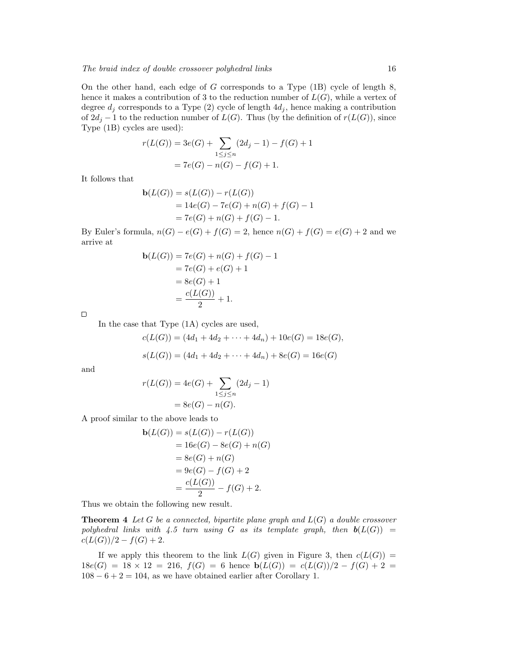On the other hand, each edge of G corresponds to a Type (1B) cycle of length 8, hence it makes a contribution of 3 to the reduction number of  $L(G)$ , while a vertex of degree  $d_j$  corresponds to a Type (2) cycle of length  $4d_j$ , hence making a contribution of  $2d_i - 1$  to the reduction number of  $L(G)$ . Thus (by the definition of  $r(L(G))$ , since Type (1B) cycles are used):

$$
r(L(G)) = 3e(G) + \sum_{1 \le j \le n} (2d_j - 1) - f(G) + 1
$$

$$
= 7e(G) - n(G) - f(G) + 1.
$$

It follows that

$$
b(L(G)) = s(L(G)) - r(L(G))
$$
  
= 14e(G) - 7e(G) + n(G) + f(G) - 1  
= 7e(G) + n(G) + f(G) - 1.

By Euler's formula,  $n(G) - e(G) + f(G) = 2$ , hence  $n(G) + f(G) = e(G) + 2$  and we arrive at

$$
b(L(G)) = 7e(G) + n(G) + f(G) - 1
$$
  
= 7e(G) + e(G) + 1  
= 8e(G) + 1  
= 
$$
\frac{c(L(G))}{2} + 1.
$$

 $\Box$ 

In the case that Type (1A) cycles are used,

$$
c(L(G)) = (4d_1 + 4d_2 + \dots + 4d_n) + 10e(G) = 18e(G),
$$
  

$$
s(L(G)) = (4d_1 + 4d_2 + \dots + 4d_n) + 8e(G) = 16e(G)
$$

and

$$
r(L(G)) = 4e(G) + \sum_{1 \le j \le n} (2d_j - 1)
$$
  
= 8e(G) - n(G).

A proof similar to the above leads to

$$
b(L(G)) = s(L(G)) - r(L(G))
$$
  
= 16e(G) - 8e(G) + n(G)  
= 8e(G) + n(G)  
= 9e(G) - f(G) + 2  
= 
$$
\frac{c(L(G))}{2} - f(G) + 2.
$$

Thus we obtain the following new result.

**Theorem 4** Let G be a connected, bipartite plane graph and  $L(G)$  a double crossover polyhedral links with 4.5 turn using G as its template graph, then  $\mathbf{b}(L(G)) =$  $c(L(G))/2 - f(G) + 2.$ 

If we apply this theorem to the link  $L(G)$  given in Figure 3, then  $c(L(G)) =$  $18e(G) = 18 \times 12 = 216$ ,  $f(G) = 6$  hence  $b(L(G)) = c(L(G))/2 - f(G) + 2 =$  $108 - 6 + 2 = 104$ , as we have obtained earlier after Corollary 1.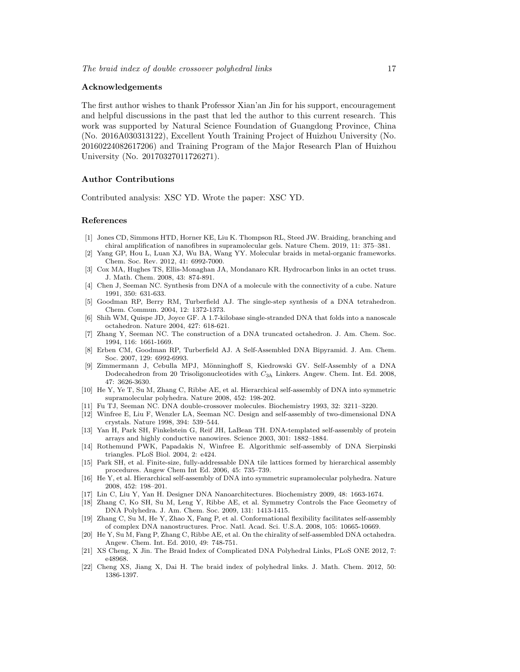#### Acknowledgements

The first author wishes to thank Professor Xian'an Jin for his support, encouragement and helpful discussions in the past that led the author to this current research. This work was supported by Natural Science Foundation of Guangdong Province, China (No. 2016A030313122), Excellent Youth Training Project of Huizhou University (No. 20160224082617206) and Training Program of the Major Research Plan of Huizhou University (No. 20170327011726271).

### Author Contributions

Contributed analysis: XSC YD. Wrote the paper: XSC YD.

#### References

- [1] Jones CD, Simmons HTD, Horner KE, Liu K. Thompson RL, Steed JW. Braiding, branching and chiral amplification of nanofibres in supramolecular gels. Nature Chem. 2019, 11: 375–381.
- [2] Yang GP, Hou L, Luan XJ, Wu BA, Wang YY. Molecular braids in metal-organic frameworks. Chem. Soc. Rev. 2012, 41: 6992-7000.
- [3] Cox MA, Hughes TS, Ellis-Monaghan JA, Mondanaro KR. Hydrocarbon links in an octet truss. J. Math. Chem. 2008, 43: 874-891.
- [4] Chen J, Seeman NC. Synthesis from DNA of a molecule with the connectivity of a cube. Nature 1991, 350: 631-633.
- [5] Goodman RP, Berry RM, Turberfield AJ. The single-step synthesis of a DNA tetrahedron. Chem. Commun. 2004, 12: 1372-1373.
- [6] Shih WM, Quispe JD, Joyce GF. A 1.7-kilobase single-stranded DNA that folds into a nanoscale octahedron. Nature 2004, 427: 618-621.
- [7] Zhang Y, Seeman NC. The construction of a DNA truncated octahedron. J. Am. Chem. Soc. 1994, 116: 1661-1669.
- [8] Erben CM, Goodman RP, Turberfield AJ. A Self-Assembled DNA Bipyramid. J. Am. Chem. Soc. 2007, 129: 6992-6993.
- [9] Zimmermann J, Cebulla MPJ, Mönninghoff S, Kiedrowski GV. Self-Assembly of a DNA Dodecahedron from 20 Trisoligonucleotides with  $C_{3h}$  Linkers. Angew. Chem. Int. Ed. 2008, 47: 3626-3630.
- [10] He Y, Ye T, Su M, Zhang C, Ribbe AE, et al. Hierarchical self-assembly of DNA into symmetric supramolecular polyhedra. Nature 2008, 452: 198-202.
- [11] Fu TJ, Seeman NC. DNA double-crossover molecules. Biochemistry 1993, 32: 3211–3220.
- [12] Winfree E, Liu F, Wenzler LA, Seeman NC. Design and self-assembly of two-dimensional DNA crystals. Nature 1998, 394: 539–544.
- [13] Yan H, Park SH, Finkelstein G, Reif JH, LaBean TH. DNA-templated self-assembly of protein arrays and highly conductive nanowires. Science 2003, 301: 1882–1884.
- [14] Rothemund PWK, Papadakis N, Winfree E. Algorithmic self-assembly of DNA Sierpinski triangles. PLoS Biol. 2004, 2: e424.
- [15] Park SH, et al. Finite-size, fully-addressable DNA tile lattices formed by hierarchical assembly procedures. Angew Chem Int Ed. 2006, 45: 735–739.
- [16] He Y, et al. Hierarchical self-assembly of DNA into symmetric supramolecular polyhedra. Nature 2008, 452: 198–201.
- [17] Lin C, Liu Y, Yan H. Designer DNA Nanoarchitectures. Biochemistry 2009, 48: 1663-1674.
- [18] Zhang C, Ko SH, Su M, Leng Y, Ribbe AE, et al. Symmetry Controls the Face Geometry of DNA Polyhedra. J. Am. Chem. Soc. 2009, 131: 1413-1415.
- [19] Zhang C, Su M, He Y, Zhao X, Fang P, et al. Conformational flexibility facilitates self-assembly of complex DNA nanostructures. Proc. Natl. Acad. Sci. U.S.A. 2008, 105: 10665-10669.
- [20] He Y, Su M, Fang P, Zhang C, Ribbe AE, et al. On the chirality of self-assembled DNA octahedra. Angew. Chem. Int. Ed. 2010, 49: 748-751.
- [21] XS Cheng, X Jin. The Braid Index of Complicated DNA Polyhedral Links, PLoS ONE 2012, 7: e48968.
- [22] Cheng XS, Jiang X, Dai H. The braid index of polyhedral links. J. Math. Chem. 2012, 50: 1386-1397.